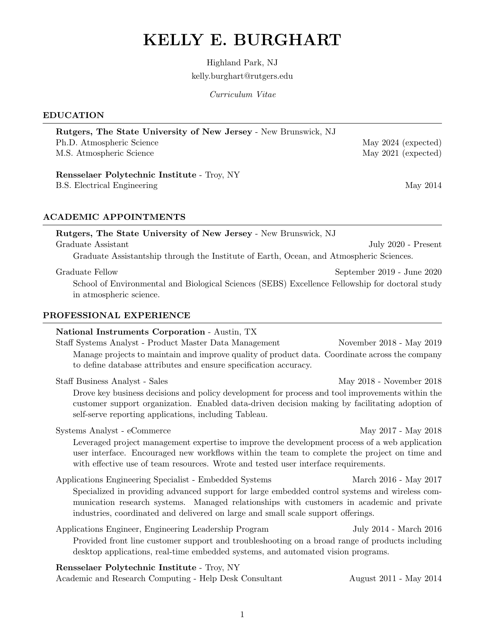# KELLY E. BURGHART

Highland Park, NJ kelly.burghart@rutgers.edu

Curriculum Vitae

#### EDUCATION

| Ph.D. Atmospheric Science                                                                       | May 2024 (expected) |
|-------------------------------------------------------------------------------------------------|---------------------|
| M.S. Atmospheric Science                                                                        | May 2021 (expected) |
| Rensselaer Polytechnic Institute - Troy, NY                                                     |                     |
| B.S. Electrical Engineering                                                                     | May 2014            |
| <b>ACADEMIC APPOINTMENTS</b><br>Rutgers, The State University of New Jersey - New Brunswick, NJ |                     |
| Graduate Assistant                                                                              | July 2020 - Present |
| Graduate Assistantship through the Institute of Earth, Ocean, and Atmospheric Sciences.         |                     |
|                                                                                                 |                     |

Rutgers, The State University of New Jersey - New Brunswick, NJ

School of Environmental and Biological Sciences (SEBS) Excellence Fellowship for doctoral study in atmospheric science.

# PROFESSIONAL EXPERIENCE

| <b>National Instruments Corporation - Austin, TX</b><br>Staff Systems Analyst - Product Master Data Management<br>Manage projects to maintain and improve quality of product data. Coordinate across the company<br>to define database attributes and ensure specification accuracy.                                                       | November 2018 - May 2019 |
|--------------------------------------------------------------------------------------------------------------------------------------------------------------------------------------------------------------------------------------------------------------------------------------------------------------------------------------------|--------------------------|
| Staff Business Analyst - Sales<br>Drove key business decisions and policy development for process and tool improvements within the<br>customer support organization. Enabled data-driven decision making by facilitating adoption of<br>self-serve reporting applications, including Tableau.                                              | May 2018 - November 2018 |
| Systems Analyst - eCommerce<br>Leveraged project management expertise to improve the development process of a web application<br>user interface. Encouraged new workflows within the team to complete the project on time and<br>with effective use of team resources. Wrote and tested user interface requirements.                       | May 2017 - May 2018      |
| Applications Engineering Specialist - Embedded Systems<br>Specialized in providing advanced support for large embedded control systems and wireless com-<br>munication research systems. Managed relationships with customers in academic and private<br>industries, coordinated and delivered on large and small scale support offerings. | March 2016 - May 2017    |
| Applications Engineer, Engineering Leadership Program<br>Provided front line customer support and troubleshooting on a broad range of products including<br>desktop applications, real-time embedded systems, and automated vision programs.                                                                                               | July 2014 - March 2016   |
| Rensselaer Polytechnic Institute - Troy, NY                                                                                                                                                                                                                                                                                                |                          |

Academic and Research Computing - Help Desk Consultant August 2011 - May 2014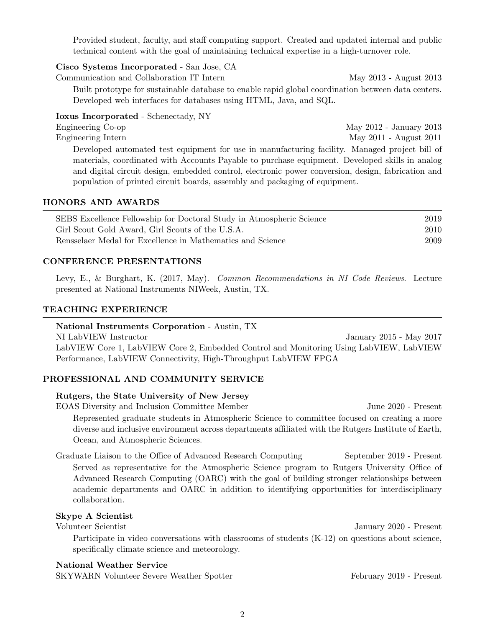Provided student, faculty, and staff computing support. Created and updated internal and public technical content with the goal of maintaining technical expertise in a high-turnover role.

#### Cisco Systems Incorporated - San Jose, CA

Communication and Collaboration IT Intern May 2013 - August 2013

Built prototype for sustainable database to enable rapid global coordination between data centers. Developed web interfaces for databases using HTML, Java, and SQL.

# Ioxus Incorporated - Schenectady, NY

Engineering Co-op May 2012 - January 2013 Engineering Intern May 2011 - August 2011 Developed automated test equipment for use in manufacturing facility. Managed project bill of materials, coordinated with Accounts Payable to purchase equipment. Developed skills in analog and digital circuit design, embedded control, electronic power conversion, design, fabrication and

population of printed circuit boards, assembly and packaging of equipment.

#### HONORS AND AWARDS

| SEBS Excellence Fellowship for Doctoral Study in Atmospheric Science | 2019 |
|----------------------------------------------------------------------|------|
| Girl Scout Gold Award, Girl Scouts of the U.S.A.                     | 2010 |
| Rensselaer Medal for Excellence in Mathematics and Science           | 2009 |

# CONFERENCE PRESENTATIONS

Levy, E., & Burghart, K. (2017, May). Common Recommendations in NI Code Reviews. Lecture presented at National Instruments NIWeek, Austin, TX.

# TEACHING EXPERIENCE

#### National Instruments Corporation - Austin, TX

NI LabVIEW Instructor January 2015 - May 2017 LabVIEW Core 1, LabVIEW Core 2, Embedded Control and Monitoring Using LabVIEW, LabVIEW Performance, LabVIEW Connectivity, High-Throughput LabVIEW FPGA

# PROFESSIONAL AND COMMUNITY SERVICE

#### Rutgers, the State University of New Jersey

EOAS Diversity and Inclusion Committee Member June 2020 - Present Represented graduate students in Atmospheric Science to committee focused on creating a more diverse and inclusive environment across departments affiliated with the Rutgers Institute of Earth, Ocean, and Atmospheric Sciences.

Graduate Liaison to the Office of Advanced Research Computing September 2019 - Present Served as representative for the Atmospheric Science program to Rutgers University Office of Advanced Research Computing (OARC) with the goal of building stronger relationships between academic departments and OARC in addition to identifying opportunities for interdisciplinary collaboration.

# Skype A Scientist

Volunteer Scientist January 2020 - Present

Participate in video conversations with classrooms of students (K-12) on questions about science, specifically climate science and meteorology.

#### National Weather Service

SKYWARN Volunteer Severe Weather Spotter February 2019 - Present